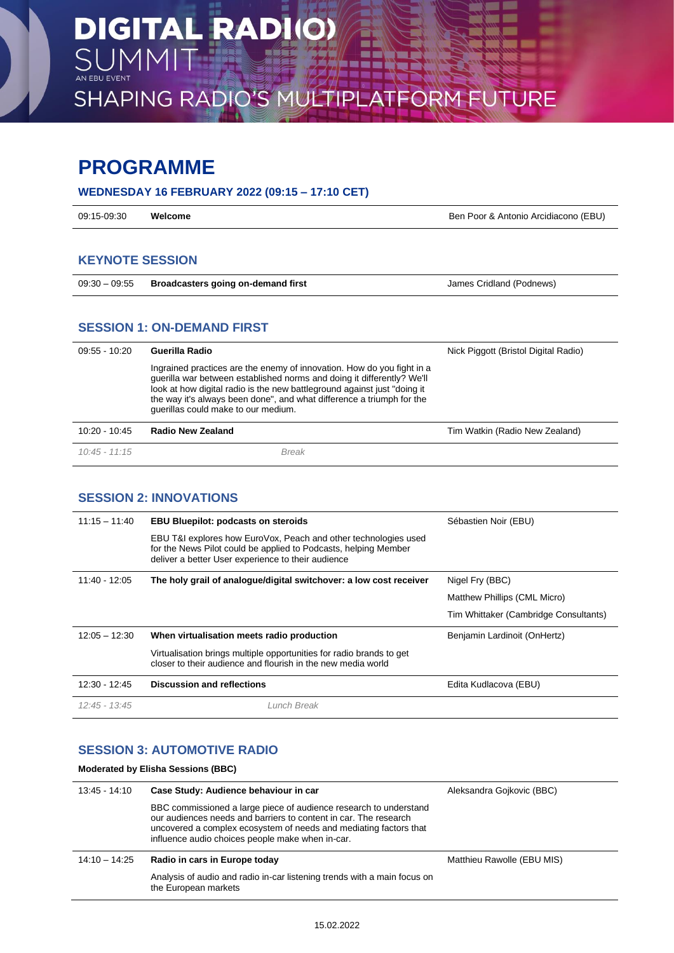SHAPING RADIO'S MULTIPLATFORM FUTURE

# **PROGRAMME**

# **WEDNESDAY 16 FEBRUARY 2022 (09:15 – 17:10 CET)**

| 09:15-09:30 | Welcome<br>. | Ben Poor & Antonio Arcidiacono (EBU) |
|-------------|--------------|--------------------------------------|
|             |              |                                      |

# **KEYNOTE SESSION**

|  | 09:30 - 09:55 Broadcasters going on-demand first | James Cridland (Podnews) |
|--|--------------------------------------------------|--------------------------|
|--|--------------------------------------------------|--------------------------|

### **SESSION 1: ON-DEMAND FIRST**

| $09:55 - 10:20$ | Guerilla Radio                                                                                                                                                                                                                                                                                                                               | Nick Piggott (Bristol Digital Radio) |
|-----------------|----------------------------------------------------------------------------------------------------------------------------------------------------------------------------------------------------------------------------------------------------------------------------------------------------------------------------------------------|--------------------------------------|
|                 | Ingrained practices are the enemy of innovation. How do you fight in a<br>querilla war between established norms and doing it differently? We'll<br>look at how digital radio is the new battleground against just "doing it<br>the way it's always been done", and what difference a triumph for the<br>querillas could make to our medium. |                                      |
| $10:20 - 10:45$ | Radio New Zealand                                                                                                                                                                                                                                                                                                                            | Tim Watkin (Radio New Zealand)       |
| $10:45 - 11:15$ | <b>Break</b>                                                                                                                                                                                                                                                                                                                                 |                                      |

# **SESSION 2: INNOVATIONS**

| $11:15 - 11:40$ | <b>EBU Bluepilot: podcasts on steroids</b>                                                                                                                                               | Sébastien Noir (EBU)                  |
|-----------------|------------------------------------------------------------------------------------------------------------------------------------------------------------------------------------------|---------------------------------------|
|                 | EBU T&I explores how EuroVox, Peach and other technologies used<br>for the News Pilot could be applied to Podcasts, helping Member<br>deliver a better User experience to their audience |                                       |
| $11:40 - 12:05$ | The holy grail of analogue/digital switchover: a low cost receiver                                                                                                                       | Nigel Fry (BBC)                       |
|                 |                                                                                                                                                                                          | Matthew Phillips (CML Micro)          |
|                 |                                                                                                                                                                                          | Tim Whittaker (Cambridge Consultants) |
| $12:05 - 12:30$ | When virtualisation meets radio production                                                                                                                                               | Benjamin Lardinoit (OnHertz)          |
|                 | Virtualisation brings multiple opportunities for radio brands to get<br>closer to their audience and flourish in the new media world                                                     |                                       |
| 12:30 - 12:45   | <b>Discussion and reflections</b>                                                                                                                                                        | Edita Kudlacova (EBU)                 |
| $12:45 - 13:45$ | Lunch Break                                                                                                                                                                              |                                       |

# **SESSION 3: AUTOMOTIVE RADIO**

#### **Moderated by Elisha Sessions (BBC)**

| $13:45 - 14:10$ | Case Study: Audience behaviour in car                                                                                                                                                                                                                          | Aleksandra Gojkovic (BBC)  |
|-----------------|----------------------------------------------------------------------------------------------------------------------------------------------------------------------------------------------------------------------------------------------------------------|----------------------------|
|                 | BBC commissioned a large piece of audience research to understand<br>our audiences needs and barriers to content in car. The research<br>uncovered a complex ecosystem of needs and mediating factors that<br>influence audio choices people make when in-car. |                            |
| $14:10 - 14:25$ | Radio in cars in Europe today                                                                                                                                                                                                                                  | Matthieu Rawolle (EBU MIS) |
|                 | Analysis of audio and radio in-car listening trends with a main focus on<br>the European markets                                                                                                                                                               |                            |